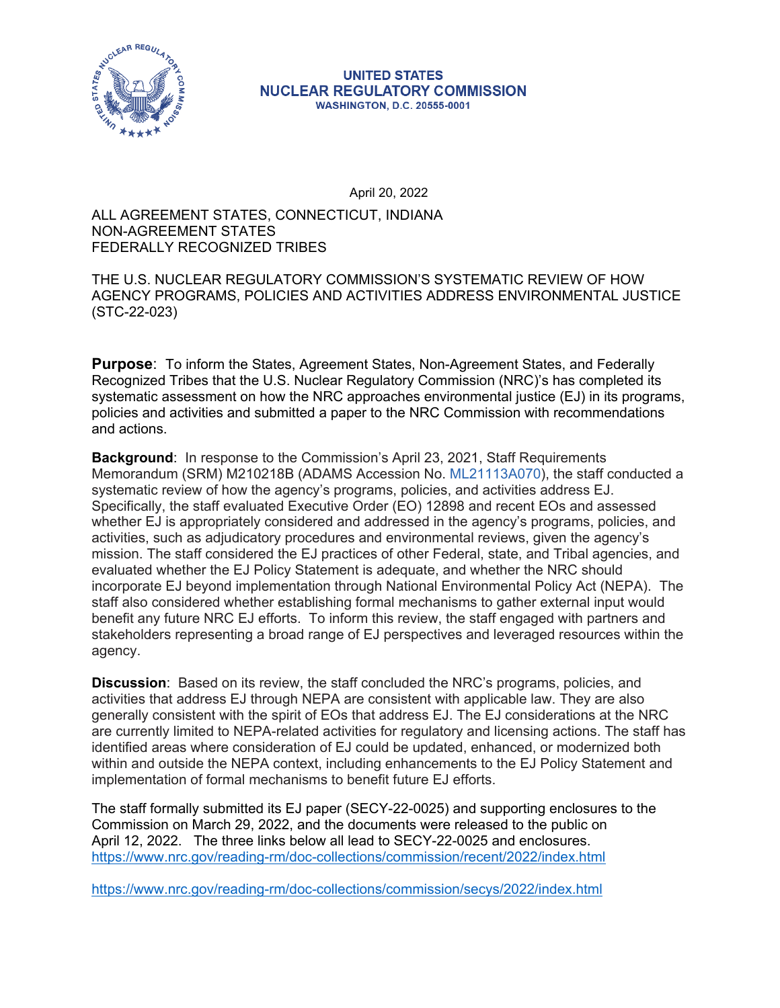

#### **UNITED STATES NUCLEAR REGULATORY COMMISSION WASHINGTON, D.C. 20555-0001**

April 20, 2022

### ALL AGREEMENT STATES, CONNECTICUT, INDIANA NON-AGREEMENT STATES FEDERALLY RECOGNIZED TRIBES

## THE U.S. NUCLEAR REGULATORY COMMISSION'S SYSTEMATIC REVIEW OF HOW AGENCY PROGRAMS, POLICIES AND ACTIVITIES ADDRESS ENVIRONMENTAL JUSTICE (STC-22-023)

**Purpose**: To inform the States, Agreement States, Non-Agreement States, and Federally Recognized Tribes that the U.S. Nuclear Regulatory Commission (NRC)'s has completed its systematic assessment on how the NRC approaches environmental justice (EJ) in its programs, policies and activities and submitted a paper to the NRC Commission with recommendations and actions.

**Background**: In response to the Commission's April 23, 2021, Staff Requirements Memorandum (SRM) M210218B (ADAMS Accession No. ML21113A070), the staff conducted a systematic review of how the agency's programs, policies, and activities address EJ. Specifically, the staff evaluated Executive Order (EO) 12898 and recent EOs and assessed whether EJ is appropriately considered and addressed in the agency's programs, policies, and activities, such as adjudicatory procedures and environmental reviews, given the agency's mission. The staff considered the EJ practices of other Federal, state, and Tribal agencies, and evaluated whether the EJ Policy Statement is adequate, and whether the NRC should incorporate EJ beyond implementation through National Environmental Policy Act (NEPA). The staff also considered whether establishing formal mechanisms to gather external input would benefit any future NRC EJ efforts. To inform this review, the staff engaged with partners and stakeholders representing a broad range of EJ perspectives and leveraged resources within the agency.

identified areas where consideration of EJ could be updated, enhanced, or modernized both **Discussion**: Based on its review, the staff concluded the NRC's programs, policies, and activities that address EJ through NEPA are consistent with applicable law. They are also generally consistent with the spirit of EOs that address EJ. The EJ considerations at the NRC are currently limited to NEPA-related activities for regulatory and licensing actions. The staff has within and outside the NEPA context, including enhancements to the EJ Policy Statement and implementation of formal mechanisms to benefit future EJ efforts.

The staff formally submitted its EJ paper (SECY-22-0025) and supporting enclosures to the Commission on March 29, 2022, and the documents were released to the public on April 12, 2022. The three links below all lead to SECY-22-0025 and enclosures. <https://www.nrc.gov/reading-rm/doc-collections/commission/recent/2022/index.html>

<https://www.nrc.gov/reading-rm/doc-collections/commission/secys/2022/index.html>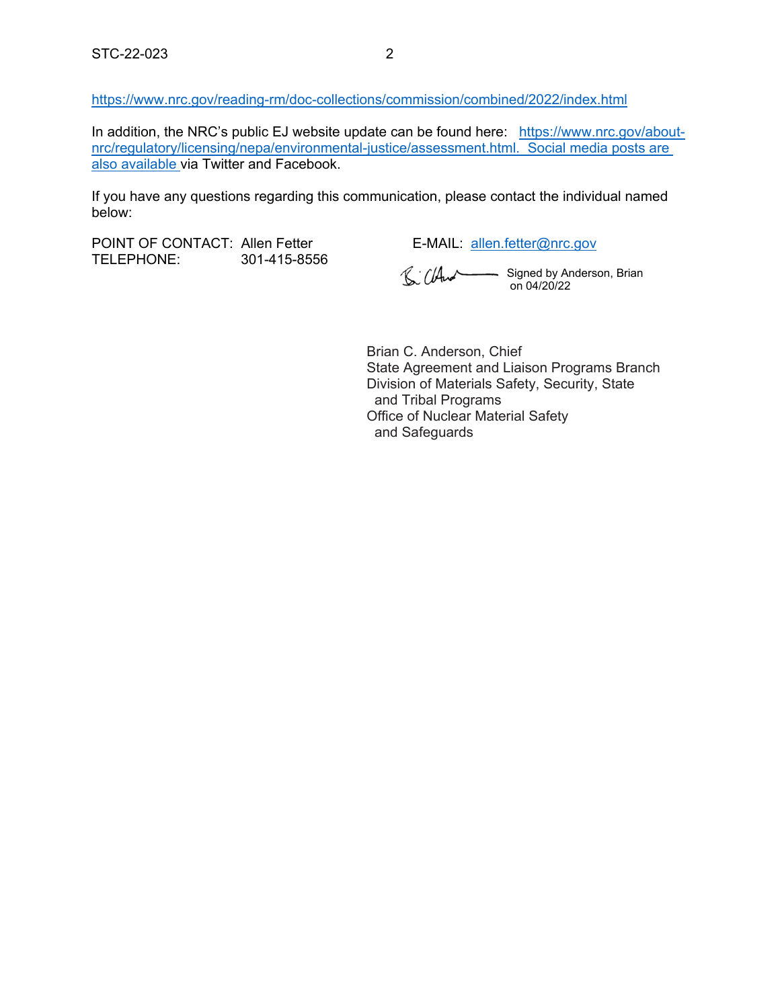<https://www.nrc.gov/reading-rm/doc-collections/commission/combined/2022/index.html>

In addition, the NRC's public EJ website update can be found here: [https://www.nrc.gov/about](https://www.nrc.gov/about-nrc/regulatory/licensing/nepa/environmental-justice/assessment.html)[nrc/regulatory/licensing/nepa/environmental-justice/assessment.html](https://www.nrc.gov/about-nrc/regulatory/licensing/nepa/environmental-justice/assessment.html). Social media posts are also available via Twitter and Facebook.

If you have any questions regarding this communication, please contact the individual named below:

POINT OF CONTACT: Allen Fetter E-MAIL: [allen.fetter@nrc.gov](mailto:allen.fetter@nrc.gov) TELEPHONE: 301-415-8556

Signed by Anderson, Brian on 04/20/22

Brian C. Anderson, Chief State Agreement and Liaison Programs Branch Division of Materials Safety, Security, State and Tribal Programs Office of Nuclear Material Safety and Safeguards